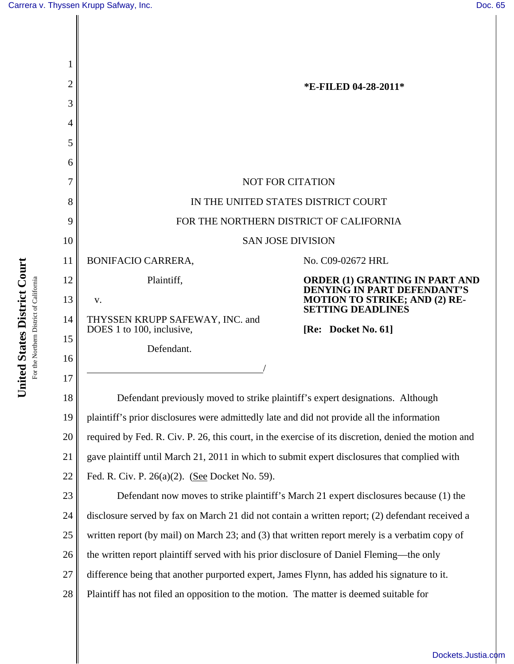| $\overline{2}$ | *E-FILED 04-28-2011*                                                                                 |                                                                                                                                          |
|----------------|------------------------------------------------------------------------------------------------------|------------------------------------------------------------------------------------------------------------------------------------------|
| 3              |                                                                                                      |                                                                                                                                          |
| 4              |                                                                                                      |                                                                                                                                          |
| 5              |                                                                                                      |                                                                                                                                          |
| 6              |                                                                                                      |                                                                                                                                          |
|                | <b>NOT FOR CITATION</b>                                                                              |                                                                                                                                          |
| 8              | IN THE UNITED STATES DISTRICT COURT                                                                  |                                                                                                                                          |
| 9              | FOR THE NORTHERN DISTRICT OF CALIFORNIA                                                              |                                                                                                                                          |
| 10             | <b>SAN JOSE DIVISION</b>                                                                             |                                                                                                                                          |
| 11             | <b>BONIFACIO CARRERA,</b>                                                                            | No. C09-02672 HRL                                                                                                                        |
| 12             | Plaintiff,                                                                                           | ORDER (1) GRANTING IN PART AND<br><b>DENYING IN PART DEFENDANT'S</b><br><b>MOTION TO STRIKE; AND (2) RE-</b><br><b>SETTING DEADLINES</b> |
| 13             | V.                                                                                                   |                                                                                                                                          |
| 14             | THYSSEN KRUPP SAFEWAY, INC. and                                                                      |                                                                                                                                          |
| 15             | DOES 1 to 100, inclusive,<br>Defendant.                                                              | [Re: Docket No. 61]                                                                                                                      |
| 16             |                                                                                                      |                                                                                                                                          |
| 17             |                                                                                                      |                                                                                                                                          |
| 18             | Defendant previously moved to strike plaintiff's expert designations. Although                       |                                                                                                                                          |
| 19             | plaintiff's prior disclosures were admittedly late and did not provide all the information           |                                                                                                                                          |
| 20             | required by Fed. R. Civ. P. 26, this court, in the exercise of its discretion, denied the motion and |                                                                                                                                          |
| 21             | gave plaintiff until March 21, 2011 in which to submit expert disclosures that complied with         |                                                                                                                                          |
| 22             | Fed. R. Civ. P. 26(a)(2). (See Docket No. 59).                                                       |                                                                                                                                          |
| 23             | Defendant now moves to strike plaintiff's March 21 expert disclosures because (1) the                |                                                                                                                                          |
| 24             | disclosure served by fax on March 21 did not contain a written report; (2) defendant received a      |                                                                                                                                          |
| 25             | written report (by mail) on March 23; and (3) that written report merely is a verbatim copy of       |                                                                                                                                          |
| 26             | the written report plaintiff served with his prior disclosure of Daniel Fleming—the only             |                                                                                                                                          |
| 27             | difference being that another purported expert, James Flynn, has added his signature to it.          |                                                                                                                                          |
| 28             | Plaintiff has not filed an opposition to the motion. The matter is deemed suitable for               |                                                                                                                                          |
|                |                                                                                                      |                                                                                                                                          |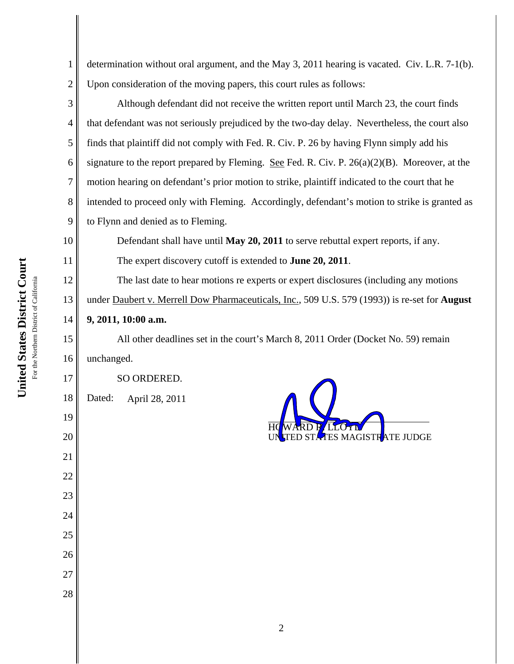3

4

5

6

7

8

9

10

11

15

16

17

18

19

20

21

22

23

24

25

26

27

28

1 2 determination without oral argument, and the May 3, 2011 hearing is vacated. Civ. L.R. 7-1(b). Upon consideration of the moving papers, this court rules as follows:

Although defendant did not receive the written report until March 23, the court finds that defendant was not seriously prejudiced by the two-day delay. Nevertheless, the court also finds that plaintiff did not comply with Fed. R. Civ. P. 26 by having Flynn simply add his signature to the report prepared by Fleming. See Fed. R. Civ. P.  $26(a)(2)(B)$ . Moreover, at the motion hearing on defendant's prior motion to strike, plaintiff indicated to the court that he intended to proceed only with Fleming. Accordingly, defendant's motion to strike is granted as to Flynn and denied as to Fleming.

Defendant shall have until **May 20, 2011** to serve rebuttal expert reports, if any. The expert discovery cutoff is extended to **June 20, 2011**.

12 13 14 The last date to hear motions re experts or expert disclosures (including any motions under Daubert v. Merrell Dow Pharmaceuticals, Inc., 509 U.S. 579 (1993)) is re-set for **August 9, 2011, 10:00 a.m.**

All other deadlines set in the court's March 8, 2011 Order (Docket No. 59) remain unchanged.

SO ORDERED.

Dated: April 28, 2011

 $\overline{a}$ HOWARD **F**/LLOYD UN<mark>I</mark>TED STATES MAGISTRATE JUDGE